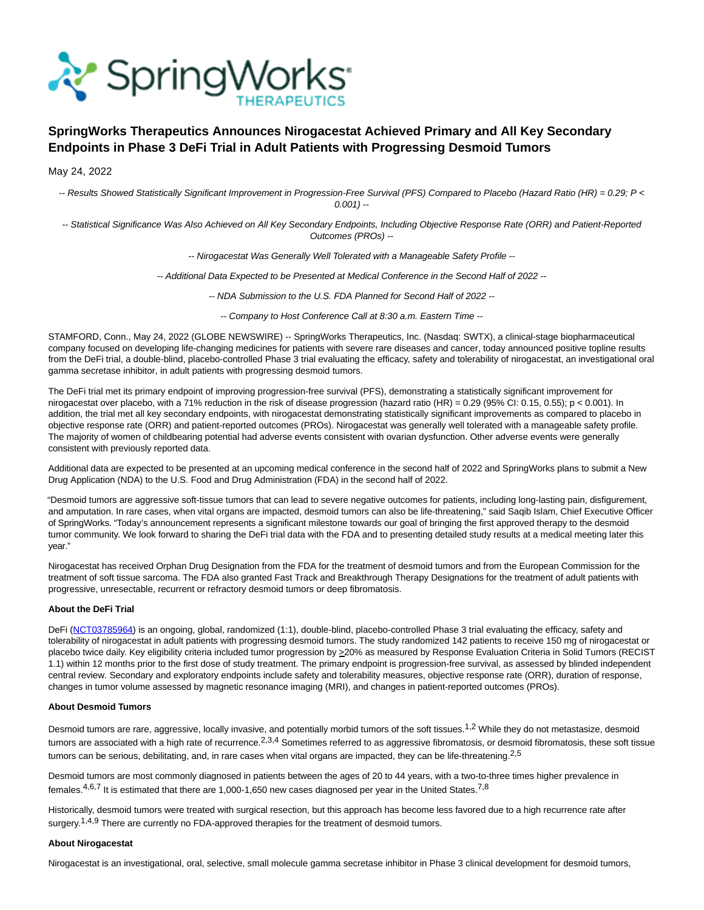

# **SpringWorks Therapeutics Announces Nirogacestat Achieved Primary and All Key Secondary Endpoints in Phase 3 DeFi Trial in Adult Patients with Progressing Desmoid Tumors**

May 24, 2022

-- Results Showed Statistically Significant Improvement in Progression-Free Survival (PFS) Compared to Placebo (Hazard Ratio (HR) = 0.29; P <  $0.001$ ) --

-- Statistical Significance Was Also Achieved on All Key Secondary Endpoints, Including Objective Response Rate (ORR) and Patient-Reported Outcomes (PROs) --

-- Nirogacestat Was Generally Well Tolerated with a Manageable Safety Profile --

-- Additional Data Expected to be Presented at Medical Conference in the Second Half of 2022 --

-- NDA Submission to the U.S. FDA Planned for Second Half of 2022 --

-- Company to Host Conference Call at 8:30 a.m. Eastern Time --

STAMFORD, Conn., May 24, 2022 (GLOBE NEWSWIRE) -- SpringWorks Therapeutics, Inc. (Nasdaq: SWTX), a clinical-stage biopharmaceutical company focused on developing life-changing medicines for patients with severe rare diseases and cancer, today announced positive topline results from the DeFi trial, a double-blind, placebo-controlled Phase 3 trial evaluating the efficacy, safety and tolerability of nirogacestat, an investigational oral gamma secretase inhibitor, in adult patients with progressing desmoid tumors.

The DeFi trial met its primary endpoint of improving progression-free survival (PFS), demonstrating a statistically significant improvement for nirogacestat over placebo, with a 71% reduction in the risk of disease progression (hazard ratio (HR) = 0.29 (95% CI: 0.15, 0.55); p < 0.001). In addition, the trial met all key secondary endpoints, with nirogacestat demonstrating statistically significant improvements as compared to placebo in objective response rate (ORR) and patient-reported outcomes (PROs). Nirogacestat was generally well tolerated with a manageable safety profile. The majority of women of childbearing potential had adverse events consistent with ovarian dysfunction. Other adverse events were generally consistent with previously reported data.

Additional data are expected to be presented at an upcoming medical conference in the second half of 2022 and SpringWorks plans to submit a New Drug Application (NDA) to the U.S. Food and Drug Administration (FDA) in the second half of 2022.

"Desmoid tumors are aggressive soft-tissue tumors that can lead to severe negative outcomes for patients, including long-lasting pain, disfigurement, and amputation. In rare cases, when vital organs are impacted, desmoid tumors can also be life-threatening," said Saqib Islam, Chief Executive Officer of SpringWorks. "Today's announcement represents a significant milestone towards our goal of bringing the first approved therapy to the desmoid tumor community. We look forward to sharing the DeFi trial data with the FDA and to presenting detailed study results at a medical meeting later this year."

Nirogacestat has received Orphan Drug Designation from the FDA for the treatment of desmoid tumors and from the European Commission for the treatment of soft tissue sarcoma. The FDA also granted Fast Track and Breakthrough Therapy Designations for the treatment of adult patients with progressive, unresectable, recurrent or refractory desmoid tumors or deep fibromatosis.

# **About the DeFi Trial**

DeFi [\(NCT03785964\)](https://www.globenewswire.com/Tracker?data=pOtrHXd1byKGvUEUPsMWsyJDCUDH25b7vLQUbqGS-pZ9fwLoOJncZ1Q8I9aFsvWqdzLW6NzX2HrEuVN8mIqbw5-GoL1aJnzMc2safSYwcEfrmeJk4lTb7-4h1UUz2TGHElxcA8zlbjfMf_gPi9C89-u0eP3DdgSW6as4IFSTl0k=) is an ongoing, global, randomized (1:1), double-blind, placebo-controlled Phase 3 trial evaluating the efficacy, safety and tolerability of nirogacestat in adult patients with progressing desmoid tumors. The study randomized 142 patients to receive 150 mg of nirogacestat or placebo twice daily. Key eligibility criteria included tumor progression by  $\geq$  20% as measured by Response Evaluation Criteria in Solid Tumors (RECIST 1.1) within 12 months prior to the first dose of study treatment. The primary endpoint is progression-free survival, as assessed by blinded independent central review. Secondary and exploratory endpoints include safety and tolerability measures, objective response rate (ORR), duration of response, changes in tumor volume assessed by magnetic resonance imaging (MRI), and changes in patient-reported outcomes (PROs).

# **About Desmoid Tumors**

Desmoid tumors are rare, aggressive, locally invasive, and potentially morbid tumors of the soft tissues.<sup>1,2</sup> While they do not metastasize, desmoid tumors are associated with a high rate of recurrence.<sup>2,3,4</sup> Sometimes referred to as aggressive fibromatosis, or desmoid fibromatosis, these soft tissue tumors can be serious, debilitating, and, in rare cases when vital organs are impacted, they can be life-threatening.<sup>2,5</sup>

Desmoid tumors are most commonly diagnosed in patients between the ages of 20 to 44 years, with a two-to-three times higher prevalence in females. $4,6,7$  It is estimated that there are 1,000-1,650 new cases diagnosed per year in the United States.<sup>7,8</sup>

Historically, desmoid tumors were treated with surgical resection, but this approach has become less favored due to a high recurrence rate after surgery.<sup>1,4,9</sup> There are currently no FDA-approved therapies for the treatment of desmoid tumors.

## **About Nirogacestat**

Nirogacestat is an investigational, oral, selective, small molecule gamma secretase inhibitor in Phase 3 clinical development for desmoid tumors,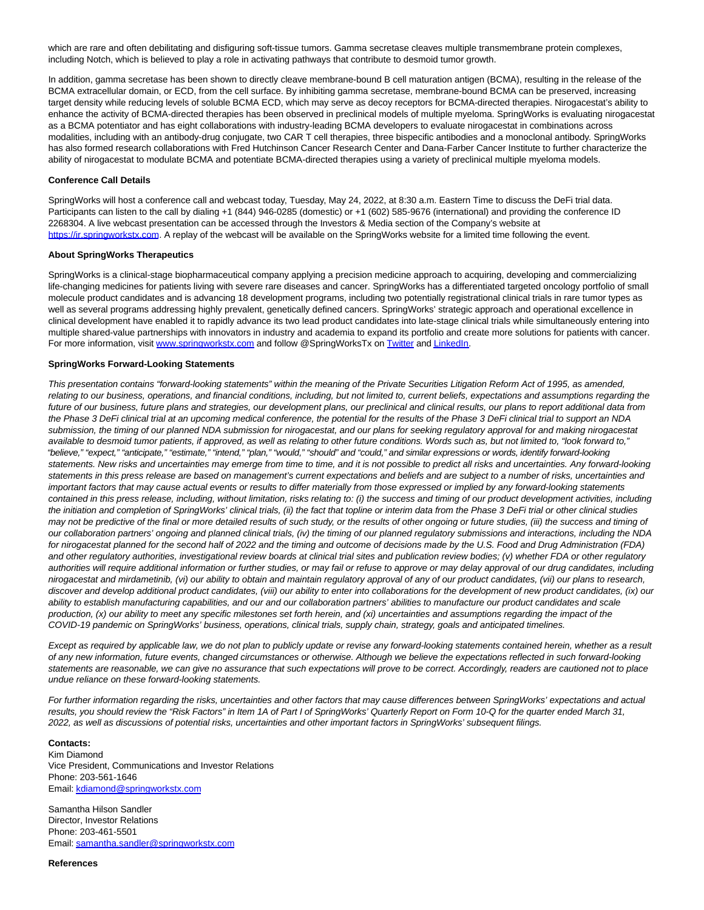which are rare and often debilitating and disfiguring soft-tissue tumors. Gamma secretase cleaves multiple transmembrane protein complexes, including Notch, which is believed to play a role in activating pathways that contribute to desmoid tumor growth.

In addition, gamma secretase has been shown to directly cleave membrane-bound B cell maturation antigen (BCMA), resulting in the release of the BCMA extracellular domain, or ECD, from the cell surface. By inhibiting gamma secretase, membrane-bound BCMA can be preserved, increasing target density while reducing levels of soluble BCMA ECD, which may serve as decoy receptors for BCMA-directed therapies. Nirogacestat's ability to enhance the activity of BCMA-directed therapies has been observed in preclinical models of multiple myeloma. SpringWorks is evaluating nirogacestat as a BCMA potentiator and has eight collaborations with industry-leading BCMA developers to evaluate nirogacestat in combinations across modalities, including with an antibody-drug conjugate, two CAR T cell therapies, three bispecific antibodies and a monoclonal antibody. SpringWorks has also formed research collaborations with Fred Hutchinson Cancer Research Center and Dana-Farber Cancer Institute to further characterize the ability of nirogacestat to modulate BCMA and potentiate BCMA-directed therapies using a variety of preclinical multiple myeloma models.

## **Conference Call Details**

SpringWorks will host a conference call and webcast today, Tuesday, May 24, 2022, at 8:30 a.m. Eastern Time to discuss the DeFi trial data. Participants can listen to the call by dialing +1 (844) 946-0285 (domestic) or +1 (602) 585-9676 (international) and providing the conference ID 2268304. A live webcast presentation can be accessed through the Investors & Media section of the Company's website at [https://ir.springworkstx.com.](https://www.globenewswire.com/Tracker?data=tRdy8DKQZ1Z9Xmydkmmp4MzS2OhUkaDiYzyFor9BVotayZHQiXttSyhM6vXXGokorui94oWTYLhCxbdCCmtRSzZ5VoNJ0b3fArCnEpH_rFg=) A replay of the webcast will be available on the SpringWorks website for a limited time following the event.

## **About SpringWorks Therapeutics**

SpringWorks is a clinical-stage biopharmaceutical company applying a precision medicine approach to acquiring, developing and commercializing life-changing medicines for patients living with severe rare diseases and cancer. SpringWorks has a differentiated targeted oncology portfolio of small molecule product candidates and is advancing 18 development programs, including two potentially registrational clinical trials in rare tumor types as well as several programs addressing highly prevalent, genetically defined cancers. SpringWorks' strategic approach and operational excellence in clinical development have enabled it to rapidly advance its two lead product candidates into late-stage clinical trials while simultaneously entering into multiple shared-value partnerships with innovators in industry and academia to expand its portfolio and create more solutions for patients with cancer. For more information, visit [www.springworkstx.com a](https://www.globenewswire.com/Tracker?data=8nf0sxwGB3z5fEU1J1Aj4ZxBDyfLVO8pj7tfsZxBf4Op3-z9HqOlrWoyW67uvfGYw89lZgK1eQltuQEq1LnNzQcint4KJYCz-JSHx3cBops=)nd follow @SpringWorksTx on [Twitter a](https://www.globenewswire.com/Tracker?data=iDHoyw-NoVSgpz2-1cd692oXcgLXWEDN8KXjLCOPjh8QJR_1Pe0gR9uv--OxHlGnOY1dRmrf3Fb2CxAdEHnJ5A==)n[d LinkedIn.](https://www.globenewswire.com/Tracker?data=DSaHq9VUeNUuyJ62sby6KbFvCYcJbOPEXhy23ZFJETOLX8mdxbGic7qMclzrL_XP7DwktDmE-1mmpJ-Ts1PrfzkQcJDSODwVebKGVnxQN5zspIbtQ5JECSChj7NuHZDO)

#### **SpringWorks Forward-Looking Statements**

This presentation contains "forward-looking statements" within the meaning of the Private Securities Litigation Reform Act of 1995, as amended, relating to our business, operations, and financial conditions, including, but not limited to, current beliefs, expectations and assumptions regarding the future of our business, future plans and strategies, our development plans, our preclinical and clinical results, our plans to report additional data from the Phase 3 DeFi clinical trial at an upcoming medical conference, the potential for the results of the Phase 3 DeFi clinical trial to support an NDA submission, the timing of our planned NDA submission for nirogacestat, and our plans for seeking regulatory approval for and making nirogacestat available to desmoid tumor patients, if approved, as well as relating to other future conditions. Words such as, but not limited to, "look forward to," "believe," "expect," "anticipate," "estimate," "intend," "plan," "would," "should" and "could," and similar expressions or words, identify forward-looking statements. New risks and uncertainties may emerge from time to time, and it is not possible to predict all risks and uncertainties. Any forward-looking statements in this press release are based on management's current expectations and beliefs and are subject to a number of risks, uncertainties and important factors that may cause actual events or results to differ materially from those expressed or implied by any forward-looking statements contained in this press release, including, without limitation, risks relating to: (i) the success and timing of our product development activities, including the initiation and completion of SpringWorks' clinical trials, (ii) the fact that topline or interim data from the Phase 3 DeFi trial or other clinical studies may not be predictive of the final or more detailed results of such study, or the results of other ongoing or future studies, (iii) the success and timing of our collaboration partners' ongoing and planned clinical trials, (iv) the timing of our planned regulatory submissions and interactions, including the NDA for nirogacestat planned for the second half of 2022 and the timing and outcome of decisions made by the U.S. Food and Drug Administration (FDA) and other regulatory authorities, investigational review boards at clinical trial sites and publication review bodies; (v) whether FDA or other regulatory authorities will require additional information or further studies, or may fail or refuse to approve or may delay approval of our drug candidates, including nirogacestat and mirdametinib, (vi) our ability to obtain and maintain regulatory approval of any of our product candidates, (vii) our plans to research, discover and develop additional product candidates, (viii) our ability to enter into collaborations for the development of new product candidates, (ix) our ability to establish manufacturing capabilities, and our and our collaboration partners' abilities to manufacture our product candidates and scale production, (x) our ability to meet any specific milestones set forth herein, and (xi) uncertainties and assumptions regarding the impact of the COVID-19 pandemic on SpringWorks' business, operations, clinical trials, supply chain, strategy, goals and anticipated timelines.

Except as required by applicable law, we do not plan to publicly update or revise any forward-looking statements contained herein, whether as a result of any new information, future events, changed circumstances or otherwise. Although we believe the expectations reflected in such forward-looking statements are reasonable, we can give no assurance that such expectations will prove to be correct. Accordingly, readers are cautioned not to place undue reliance on these forward-looking statements.

For further information regarding the risks, uncertainties and other factors that may cause differences between SpringWorks' expectations and actual results, you should review the "Risk Factors" in Item 1A of Part I of SpringWorks' Quarterly Report on Form 10-Q for the quarter ended March 31, 2022, as well as discussions of potential risks, uncertainties and other important factors in SpringWorks' subsequent filings.

# **Contacts:**

Kim Diamond Vice President, Communications and Investor Relations Phone: 203-561-1646 Email[: kdiamond@springworkstx.com](https://www.globenewswire.com/Tracker?data=7in3mVxwxlNZs4Hjaoyp5CUHfcwYAvZu2ddUK2JMHhViFnRQFR_fgTU5FhoFj-FV-sdT0N3lg_JzXD6vk4MFGyo1st72HBLR_r5R_UDLybopgk37kJM9f4MmaRncSsy-)

Samantha Hilson Sandler Director, Investor Relations Phone: 203-461-5501 Email[: samantha.sandler@springworkstx.com](https://www.globenewswire.com/Tracker?data=Xcnih9ooYMRAlF6lTePvCi1yjjFmHcIXF7LVMtgxyZ9Eu6bO0du_gBVhECHa49aPErBlNI4rZ6DwPoKn1kC4BxPEVLZFJ5M-T_ooX39mzvc7ZPR_N6zno_gjY99p00_WhAOJhvKI6h9lEA-0mwFSlg==) 

**References**